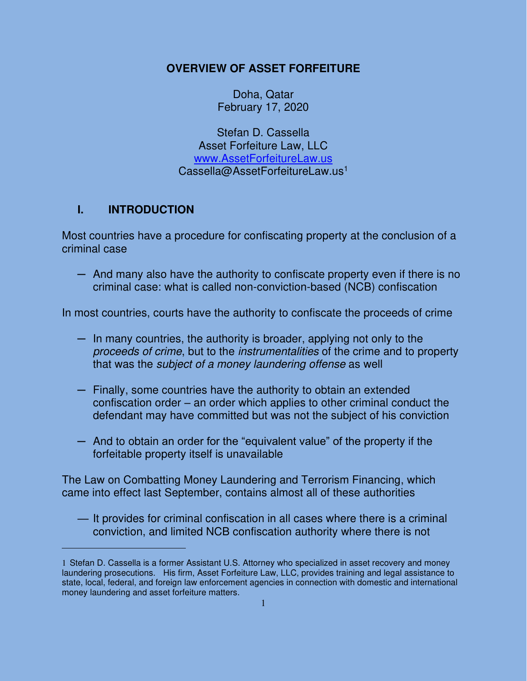## **OVERVIEW OF ASSET FORFEITURE**

Doha, Qatar February 17, 2020

Stefan D. Cassella Asset Forfeiture Law, LLC [www.AssetForfeitureLaw.us](http://www.assetforfeiturelaw.us/) Cassella@AssetForfeitureLaw.us<sup>1</sup>

# **I. INTRODUCTION**

Most countries have a procedure for confiscating property at the conclusion of a criminal case

─ And many also have the authority to confiscate property even if there is no criminal case: what is called non-conviction-based (NCB) confiscation

In most countries, courts have the authority to confiscate the proceeds of crime

- ─ In many countries, the authority is broader, applying not only to the proceeds of crime, but to the instrumentalities of the crime and to property that was the subject of a money laundering offense as well
- ─ Finally, some countries have the authority to obtain an extended confiscation order – an order which applies to other criminal conduct the defendant may have committed but was not the subject of his conviction
- ─ And to obtain an order for the "equivalent value" of the property if the forfeitable property itself is unavailable

The Law on Combatting Money Laundering and Terrorism Financing, which came into effect last September, contains almost all of these authorities

— It provides for criminal confiscation in all cases where there is a criminal conviction, and limited NCB confiscation authority where there is not

<sup>1</sup> Stefan D. Cassella is a former Assistant U.S. Attorney who specialized in asset recovery and money laundering prosecutions. His firm, Asset Forfeiture Law, LLC, provides training and legal assistance to state, local, federal, and foreign law enforcement agencies in connection with domestic and international money laundering and asset forfeiture matters.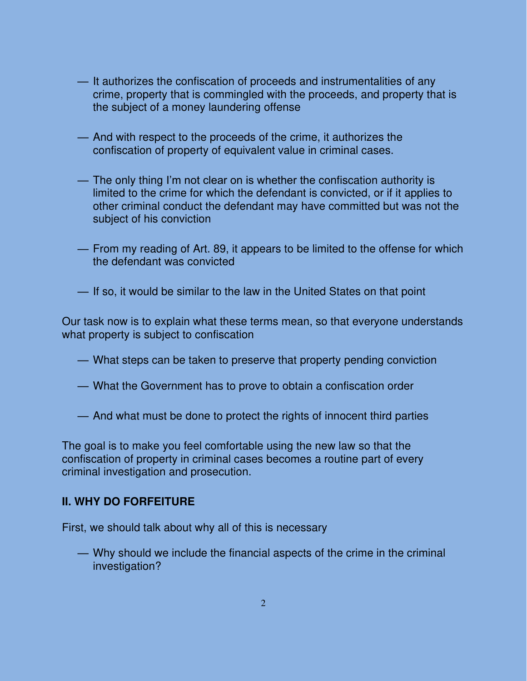- It authorizes the confiscation of proceeds and instrumentalities of any crime, property that is commingled with the proceeds, and property that is the subject of a money laundering offense
- And with respect to the proceeds of the crime, it authorizes the confiscation of property of equivalent value in criminal cases.
- The only thing I'm not clear on is whether the confiscation authority is limited to the crime for which the defendant is convicted, or if it applies to other criminal conduct the defendant may have committed but was not the subject of his conviction
- From my reading of Art. 89, it appears to be limited to the offense for which the defendant was convicted
- If so, it would be similar to the law in the United States on that point

Our task now is to explain what these terms mean, so that everyone understands what property is subject to confiscation

- What steps can be taken to preserve that property pending conviction
- What the Government has to prove to obtain a confiscation order
- And what must be done to protect the rights of innocent third parties

The goal is to make you feel comfortable using the new law so that the confiscation of property in criminal cases becomes a routine part of every criminal investigation and prosecution.

#### **II. WHY DO FORFEITURE**

First, we should talk about why all of this is necessary

— Why should we include the financial aspects of the crime in the criminal investigation?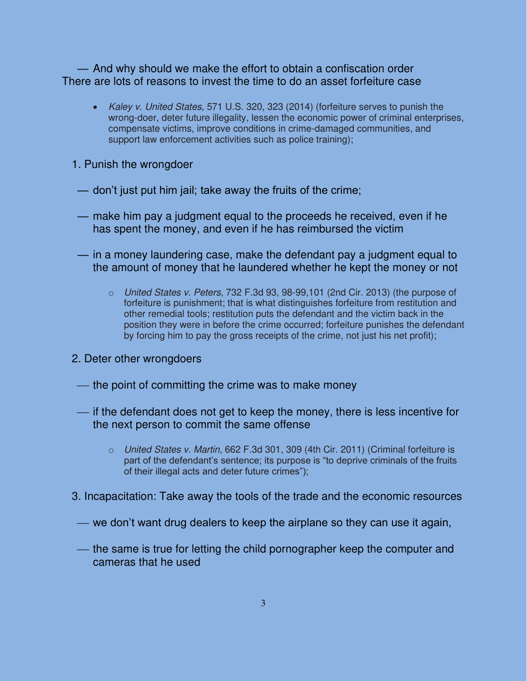— And why should we make the effort to obtain a confiscation order There are lots of reasons to invest the time to do an asset forfeiture case

- Kaley v. United States, 571 U.S. 320, 323 (2014) (forfeiture serves to punish the wrong-doer, deter future illegality, lessen the economic power of criminal enterprises, compensate victims, improve conditions in crime-damaged communities, and support law enforcement activities such as police training);
- 1. Punish the wrongdoer
	- don't just put him jail; take away the fruits of the crime;
	- make him pay a judgment equal to the proceeds he received, even if he has spent the money, and even if he has reimbursed the victim
	- in a money laundering case, make the defendant pay a judgment equal to the amount of money that he laundered whether he kept the money or not
		- $\circ$  United States v. Peters, 732 F.3d 93, 98-99,101 (2nd Cir. 2013) (the purpose of forfeiture is punishment; that is what distinguishes forfeiture from restitution and other remedial tools; restitution puts the defendant and the victim back in the position they were in before the crime occurred; forfeiture punishes the defendant by forcing him to pay the gross receipts of the crime, not just his net profit);
- 2. Deter other wrongdoers
- the point of committing the crime was to make money
- ⎯ if the defendant does not get to keep the money, there is less incentive for the next person to commit the same offense
	- o United States v. Martin, 662 F.3d 301, 309 (4th Cir. 2011) (Criminal forfeiture is part of the defendant's sentence; its purpose is "to deprive criminals of the fruits of their illegal acts and deter future crimes");
- 3. Incapacitation: Take away the tools of the trade and the economic resources
	- we don't want drug dealers to keep the airplane so they can use it again,
	- the same is true for letting the child pornographer keep the computer and cameras that he used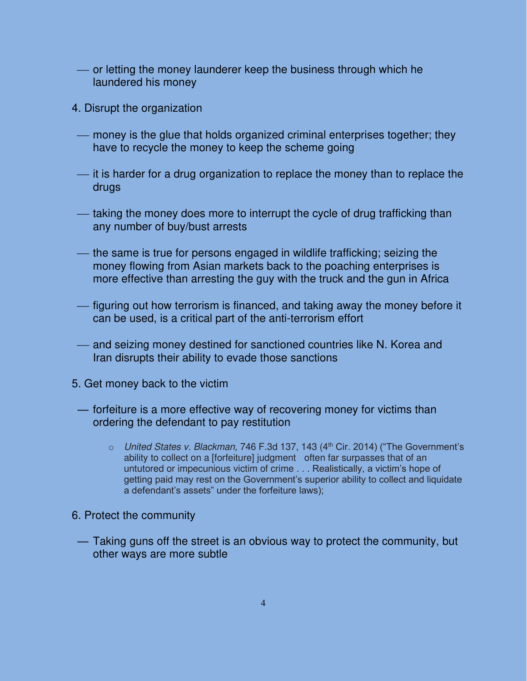- or letting the money launderer keep the business through which he laundered his money
- 4. Disrupt the organization
	- money is the glue that holds organized criminal enterprises together; they have to recycle the money to keep the scheme going
	- ⎯ it is harder for a drug organization to replace the money than to replace the drugs
	- taking the money does more to interrupt the cycle of drug trafficking than any number of buy/bust arrests
	- the same is true for persons engaged in wildlife trafficking; seizing the money flowing from Asian markets back to the poaching enterprises is more effective than arresting the guy with the truck and the gun in Africa
	- figuring out how terrorism is financed, and taking away the money before it can be used, is a critical part of the anti-terrorism effort
	- and seizing money destined for sanctioned countries like N. Korea and Iran disrupts their ability to evade those sanctions
- 5. Get money back to the victim
	- forfeiture is a more effective way of recovering money for victims than ordering the defendant to pay restitution
		- $\circ$  United States v. Blackman, 746 F.3d 137, 143 (4<sup>th</sup> Cir. 2014) ("The Government's ability to collect on a [forfeiture] judgment often far surpasses that of an untutored or impecunious victim of crime . . . Realistically, a victim's hope of getting paid may rest on the Government's superior ability to collect and liquidate a defendant's assets" under the forfeiture laws);
- 6. Protect the community
- Taking guns off the street is an obvious way to protect the community, but other ways are more subtle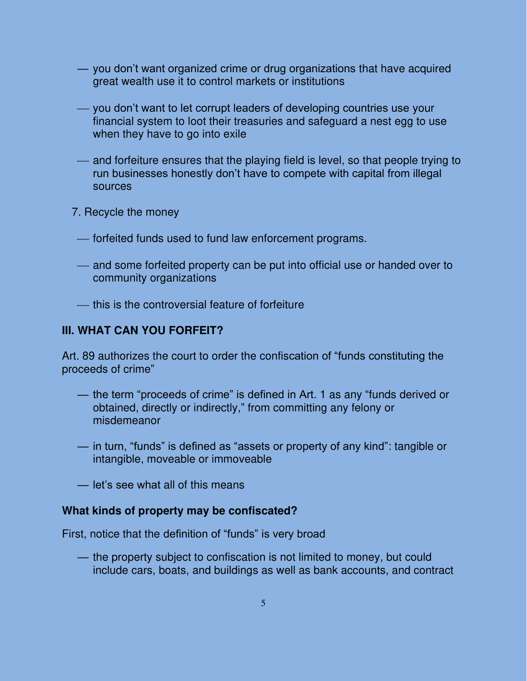- you don't want organized crime or drug organizations that have acquired great wealth use it to control markets or institutions
- you don't want to let corrupt leaders of developing countries use your financial system to loot their treasuries and safeguard a nest egg to use when they have to go into exile
- and forfeiture ensures that the playing field is level, so that people trying to run businesses honestly don't have to compete with capital from illegal sources
- 7. Recycle the money
	- ⎯ forfeited funds used to fund law enforcement programs.
	- and some forfeited property can be put into official use or handed over to community organizations
	- ⎯ this is the controversial feature of forfeiture

## **III. WHAT CAN YOU FORFEIT?**

Art. 89 authorizes the court to order the confiscation of "funds constituting the proceeds of crime"

- the term "proceeds of crime" is defined in Art. 1 as any "funds derived or obtained, directly or indirectly," from committing any felony or misdemeanor
- in turn, "funds" is defined as "assets or property of any kind": tangible or intangible, moveable or immoveable
- let's see what all of this means

### **What kinds of property may be confiscated?**

First, notice that the definition of "funds" is very broad

- the property subject to confiscation is not limited to money, but could include cars, boats, and buildings as well as bank accounts, and contract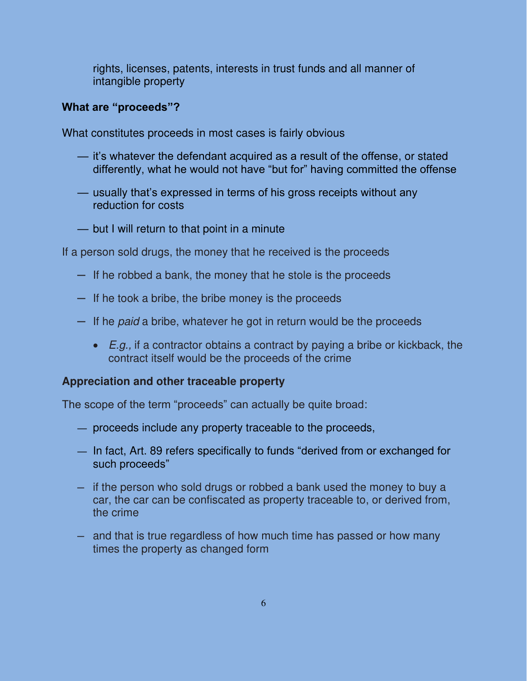rights, licenses, patents, interests in trust funds and all manner of intangible property

### **What are "proceeds"?**

What constitutes proceeds in most cases is fairly obvious

- it's whatever the defendant acquired as a result of the offense, or stated differently, what he would not have "but for" having committed the offense
- usually that's expressed in terms of his gross receipts without any reduction for costs
- but I will return to that point in a minute

If a person sold drugs, the money that he received is the proceeds

- $-$  If he robbed a bank, the money that he stole is the proceeds
- ─ If he took a bribe, the bribe money is the proceeds
- $-$  If he *paid* a bribe, whatever he got in return would be the proceeds
	- $\bullet$   $E.q.$  if a contractor obtains a contract by paying a bribe or kickback, the contract itself would be the proceeds of the crime

### **Appreciation and other traceable property**

The scope of the term "proceeds" can actually be quite broad:

- proceeds include any property traceable to the proceeds,
- In fact, Art. 89 refers specifically to funds "derived from or exchanged for such proceeds"
- $-$  if the person who sold drugs or robbed a bank used the money to buy a car, the car can be confiscated as property traceable to, or derived from, the crime
- $-$  and that is true regardless of how much time has passed or how many times the property as changed form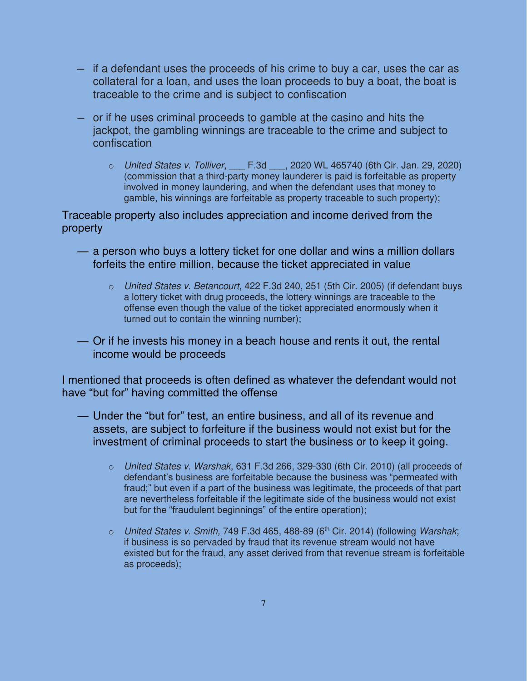- ─ if a defendant uses the proceeds of his crime to buy a car, uses the car as collateral for a loan, and uses the loan proceeds to buy a boat, the boat is traceable to the crime and is subject to confiscation
- ─ or if he uses criminal proceeds to gamble at the casino and hits the jackpot, the gambling winnings are traceable to the crime and subject to confiscation
	- $\circ$  United States v. Tolliver, F.3d . 2020 WL 465740 (6th Cir. Jan. 29, 2020) (commission that a third-party money launderer is paid is forfeitable as property involved in money laundering, and when the defendant uses that money to gamble, his winnings are forfeitable as property traceable to such property);

Traceable property also includes appreciation and income derived from the property

- a person who buys a lottery ticket for one dollar and wins a million dollars forfeits the entire million, because the ticket appreciated in value
	- o United States v. Betancourt, 422 F.3d 240, 251 (5th Cir. 2005) (if defendant buys a lottery ticket with drug proceeds, the lottery winnings are traceable to the offense even though the value of the ticket appreciated enormously when it turned out to contain the winning number);
- Or if he invests his money in a beach house and rents it out, the rental income would be proceeds

I mentioned that proceeds is often defined as whatever the defendant would not have "but for" having committed the offense

- Under the "but for" test, an entire business, and all of its revenue and assets, are subject to forfeiture if the business would not exist but for the investment of criminal proceeds to start the business or to keep it going.
	- $\circ$  United States v. Warshak, 631 F.3d 266, 329-330 (6th Cir. 2010) (all proceeds of defendant's business are forfeitable because the business was "permeated with fraud;" but even if a part of the business was legitimate, the proceeds of that part are nevertheless forfeitable if the legitimate side of the business would not exist but for the "fraudulent beginnings" of the entire operation);
	- $\circ$  United States v. Smith, 749 F.3d 465, 488-89 (6<sup>th</sup> Cir. 2014) (following Warshak; if business is so pervaded by fraud that its revenue stream would not have existed but for the fraud, any asset derived from that revenue stream is forfeitable as proceeds);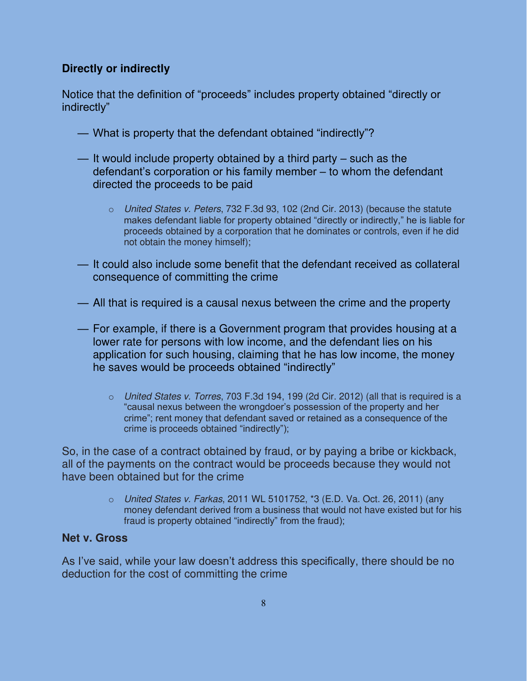## **Directly or indirectly**

Notice that the definition of "proceeds" includes property obtained "directly or indirectly"

- What is property that the defendant obtained "indirectly"?
- It would include property obtained by a third party such as the defendant's corporation or his family member – to whom the defendant directed the proceeds to be paid
	- $\circ$  United States v. Peters, 732 F.3d 93, 102 (2nd Cir. 2013) (because the statute makes defendant liable for property obtained "directly or indirectly," he is liable for proceeds obtained by a corporation that he dominates or controls, even if he did not obtain the money himself);
- It could also include some benefit that the defendant received as collateral consequence of committing the crime
- All that is required is a causal nexus between the crime and the property
- For example, if there is a Government program that provides housing at a lower rate for persons with low income, and the defendant lies on his application for such housing, claiming that he has low income, the money he saves would be proceeds obtained "indirectly"
	- $\circ$  United States v. Torres, 703 F.3d 194, 199 (2d Cir. 2012) (all that is required is a "causal nexus between the wrongdoer's possession of the property and her crime"; rent money that defendant saved or retained as a consequence of the crime is proceeds obtained "indirectly");

So, in the case of a contract obtained by fraud, or by paying a bribe or kickback, all of the payments on the contract would be proceeds because they would not have been obtained but for the crime

> o United States v. Farkas, 2011 WL 5101752, \*3 (E.D. Va. Oct. 26, 2011) (any money defendant derived from a business that would not have existed but for his fraud is property obtained "indirectly" from the fraud);

### **Net v. Gross**

As I've said, while your law doesn't address this specifically, there should be no deduction for the cost of committing the crime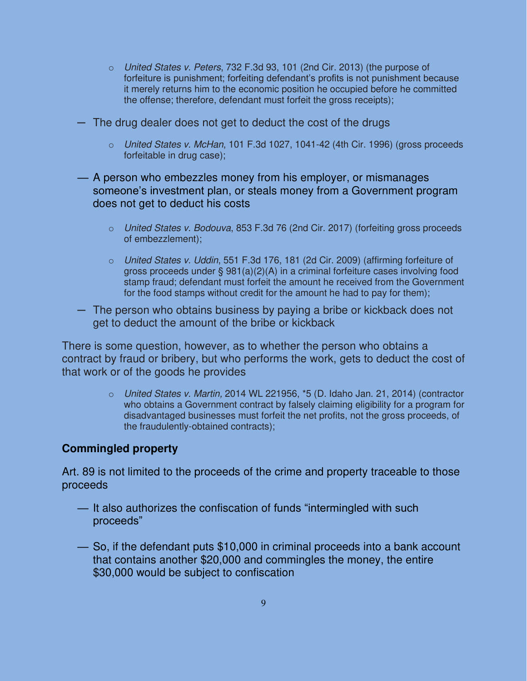- o United States v. Peters, 732 F.3d 93, 101 (2nd Cir. 2013) (the purpose of forfeiture is punishment; forfeiting defendant's profits is not punishment because it merely returns him to the economic position he occupied before he committed the offense; therefore, defendant must forfeit the gross receipts);
- ─ The drug dealer does not get to deduct the cost of the drugs
	- o United States v. McHan, 101 F.3d 1027, 1041-42 (4th Cir. 1996) (gross proceeds forfeitable in drug case);
- A person who embezzles money from his employer, or mismanages someone's investment plan, or steals money from a Government program does not get to deduct his costs
	- o United States v. Bodouva, 853 F.3d 76 (2nd Cir. 2017) (forfeiting gross proceeds of embezzlement);
	- $\circ$  United States v. Uddin, 551 F.3d 176, 181 (2d Cir. 2009) (affirming forfeiture of gross proceeds under § 981(a)(2)(A) in a criminal forfeiture cases involving food stamp fraud; defendant must forfeit the amount he received from the Government for the food stamps without credit for the amount he had to pay for them);
- ─ The person who obtains business by paying a bribe or kickback does not get to deduct the amount of the bribe or kickback

There is some question, however, as to whether the person who obtains a contract by fraud or bribery, but who performs the work, gets to deduct the cost of that work or of the goods he provides

> $\circ$  United States v. Martin, 2014 WL 221956,  $*5$  (D. Idaho Jan. 21, 2014) (contractor who obtains a Government contract by falsely claiming eligibility for a program for disadvantaged businesses must forfeit the net profits, not the gross proceeds, of the fraudulently-obtained contracts);

### **Commingled property**

Art. 89 is not limited to the proceeds of the crime and property traceable to those proceeds

- It also authorizes the confiscation of funds "intermingled with such proceeds"
- So, if the defendant puts \$10,000 in criminal proceeds into a bank account that contains another \$20,000 and commingles the money, the entire \$30,000 would be subject to confiscation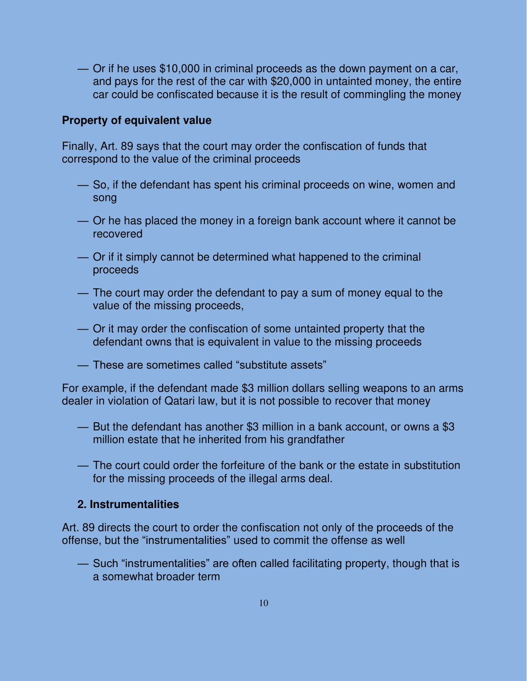— Or if he uses \$10,000 in criminal proceeds as the down payment on a car, and pays for the rest of the car with \$20,000 in untainted money, the entire car could be confiscated because it is the result of commingling the money

#### **Property of equivalent value**

Finally, Art. 89 says that the court may order the confiscation of funds that correspond to the value of the criminal proceeds

- So, if the defendant has spent his criminal proceeds on wine, women and song
- Or he has placed the money in a foreign bank account where it cannot be recovered
- Or if it simply cannot be determined what happened to the criminal proceeds
- The court may order the defendant to pay a sum of money equal to the value of the missing proceeds,
- Or it may order the confiscation of some untainted property that the defendant owns that is equivalent in value to the missing proceeds
- These are sometimes called "substitute assets"

For example, if the defendant made \$3 million dollars selling weapons to an arms dealer in violation of Qatari law, but it is not possible to recover that money

- But the defendant has another \$3 million in a bank account, or owns a \$3 million estate that he inherited from his grandfather
- The court could order the forfeiture of the bank or the estate in substitution for the missing proceeds of the illegal arms deal.

### **2. Instrumentalities**

Art. 89 directs the court to order the confiscation not only of the proceeds of the offense, but the "instrumentalities" used to commit the offense as well

— Such "instrumentalities" are often called facilitating property, though that is a somewhat broader term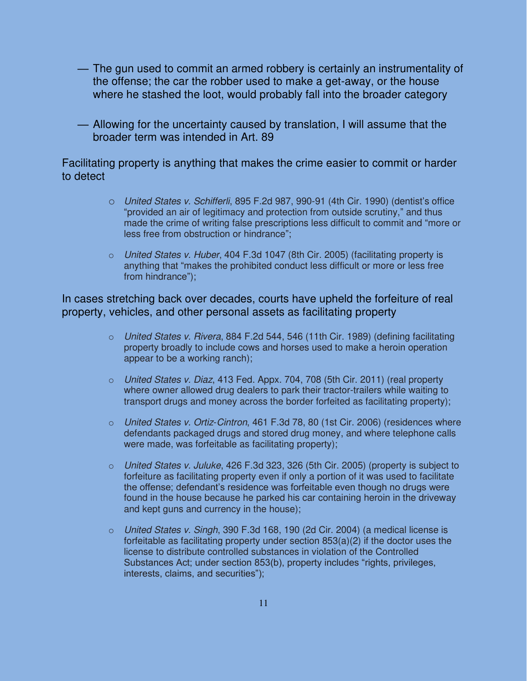- The gun used to commit an armed robbery is certainly an instrumentality of the offense; the car the robber used to make a get-away, or the house where he stashed the loot, would probably fall into the broader category
- Allowing for the uncertainty caused by translation, I will assume that the broader term was intended in Art. 89

Facilitating property is anything that makes the crime easier to commit or harder to detect

- o United States v. Schifferli, 895 F.2d 987, 990-91 (4th Cir. 1990) (dentist's office "provided an air of legitimacy and protection from outside scrutiny," and thus made the crime of writing false prescriptions less difficult to commit and "more or less free from obstruction or hindrance";
- o United States v. Huber, 404 F.3d 1047 (8th Cir. 2005) (facilitating property is anything that "makes the prohibited conduct less difficult or more or less free from hindrance");

In cases stretching back over decades, courts have upheld the forfeiture of real property, vehicles, and other personal assets as facilitating property

- o United States v. Rivera, 884 F.2d 544, 546 (11th Cir. 1989) (defining facilitating property broadly to include cows and horses used to make a heroin operation appear to be a working ranch);
- o United States v. Diaz, 413 Fed. Appx. 704, 708 (5th Cir. 2011) (real property where owner allowed drug dealers to park their tractor-trailers while waiting to transport drugs and money across the border forfeited as facilitating property);
- o United States v. Ortiz-Cintron, 461 F.3d 78, 80 (1st Cir. 2006) (residences where defendants packaged drugs and stored drug money, and where telephone calls were made, was forfeitable as facilitating property);
- $\circ$  United States v. Juluke, 426 F.3d 323, 326 (5th Cir. 2005) (property is subject to forfeiture as facilitating property even if only a portion of it was used to facilitate the offense; defendant's residence was forfeitable even though no drugs were found in the house because he parked his car containing heroin in the driveway and kept guns and currency in the house);
- $\circ$  United States v. Singh, 390 F.3d 168, 190 (2d Cir. 2004) (a medical license is forfeitable as facilitating property under section  $853(a)(2)$  if the doctor uses the license to distribute controlled substances in violation of the Controlled Substances Act; under section 853(b), property includes "rights, privileges, interests, claims, and securities");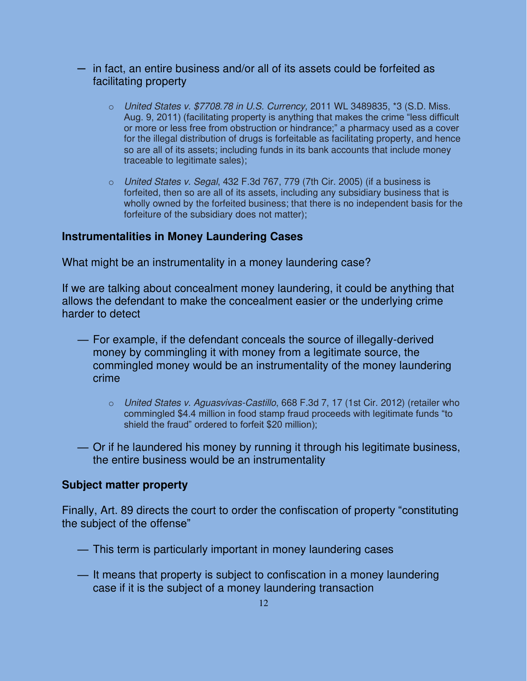- $-$  in fact, an entire business and/or all of its assets could be forfeited as facilitating property
	- $\circ$  United States v. \$7708.78 in U.S. Currency, 2011 WL 3489835, \*3 (S.D. Miss. Aug. 9, 2011) (facilitating property is anything that makes the crime "less difficult or more or less free from obstruction or hindrance;" a pharmacy used as a cover for the illegal distribution of drugs is forfeitable as facilitating property, and hence so are all of its assets; including funds in its bank accounts that include money traceable to legitimate sales);
	- o United States v. Segal, 432 F.3d 767, 779 (7th Cir. 2005) (if a business is forfeited, then so are all of its assets, including any subsidiary business that is wholly owned by the forfeited business; that there is no independent basis for the forfeiture of the subsidiary does not matter);

## **Instrumentalities in Money Laundering Cases**

What might be an instrumentality in a money laundering case?

If we are talking about concealment money laundering, it could be anything that allows the defendant to make the concealment easier or the underlying crime harder to detect

- For example, if the defendant conceals the source of illegally-derived money by commingling it with money from a legitimate source, the commingled money would be an instrumentality of the money laundering crime
	- o United States v. Aguasvivas-Castillo, 668 F.3d 7, 17 (1st Cir. 2012) (retailer who commingled \$4.4 million in food stamp fraud proceeds with legitimate funds "to shield the fraud" ordered to forfeit \$20 million);
- Or if he laundered his money by running it through his legitimate business, the entire business would be an instrumentality

### **Subject matter property**

Finally, Art. 89 directs the court to order the confiscation of property "constituting the subject of the offense"

- This term is particularly important in money laundering cases
- It means that property is subject to confiscation in a money laundering case if it is the subject of a money laundering transaction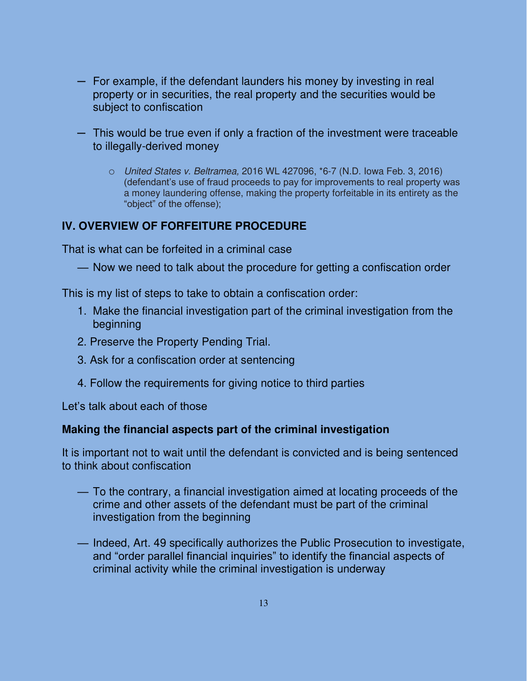- ─ For example, if the defendant launders his money by investing in real property or in securities, the real property and the securities would be subject to confiscation
- ─ This would be true even if only a fraction of the investment were traceable to illegally-derived money
	- o United States v. Beltramea, 2016 WL 427096, \*6-7 (N.D. Iowa Feb. 3, 2016) (defendant's use of fraud proceeds to pay for improvements to real property was a money laundering offense, making the property forfeitable in its entirety as the "object" of the offense);

# **IV. OVERVIEW OF FORFEITURE PROCEDURE**

That is what can be forfeited in a criminal case

— Now we need to talk about the procedure for getting a confiscation order

This is my list of steps to take to obtain a confiscation order:

- 1. Make the financial investigation part of the criminal investigation from the beginning
- 2. Preserve the Property Pending Trial.
- 3. Ask for a confiscation order at sentencing
- 4. Follow the requirements for giving notice to third parties

Let's talk about each of those

### **Making the financial aspects part of the criminal investigation**

It is important not to wait until the defendant is convicted and is being sentenced to think about confiscation

- To the contrary, a financial investigation aimed at locating proceeds of the crime and other assets of the defendant must be part of the criminal investigation from the beginning
- Indeed, Art. 49 specifically authorizes the Public Prosecution to investigate, and "order parallel financial inquiries" to identify the financial aspects of criminal activity while the criminal investigation is underway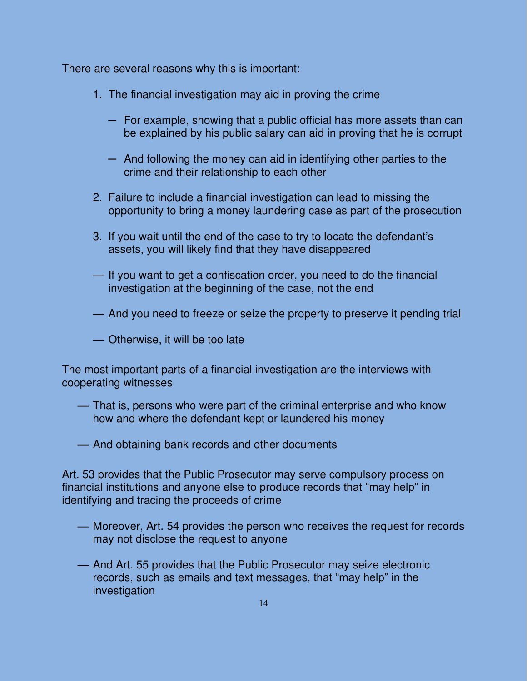There are several reasons why this is important:

- 1. The financial investigation may aid in proving the crime
	- ─ For example, showing that a public official has more assets than can be explained by his public salary can aid in proving that he is corrupt
	- $-$  And following the money can aid in identifying other parties to the crime and their relationship to each other
- 2. Failure to include a financial investigation can lead to missing the opportunity to bring a money laundering case as part of the prosecution
- 3. If you wait until the end of the case to try to locate the defendant's assets, you will likely find that they have disappeared
- If you want to get a confiscation order, you need to do the financial investigation at the beginning of the case, not the end
- And you need to freeze or seize the property to preserve it pending trial
- Otherwise, it will be too late

The most important parts of a financial investigation are the interviews with cooperating witnesses

- That is, persons who were part of the criminal enterprise and who know how and where the defendant kept or laundered his money
- And obtaining bank records and other documents

Art. 53 provides that the Public Prosecutor may serve compulsory process on financial institutions and anyone else to produce records that "may help" in identifying and tracing the proceeds of crime

- Moreover, Art. 54 provides the person who receives the request for records may not disclose the request to anyone
- And Art. 55 provides that the Public Prosecutor may seize electronic records, such as emails and text messages, that "may help" in the investigation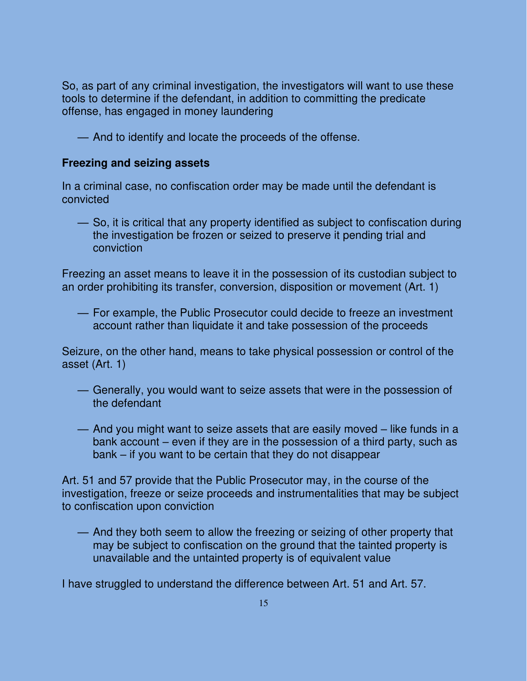So, as part of any criminal investigation, the investigators will want to use these tools to determine if the defendant, in addition to committing the predicate offense, has engaged in money laundering

— And to identify and locate the proceeds of the offense.

### **Freezing and seizing assets**

In a criminal case, no confiscation order may be made until the defendant is convicted

— So, it is critical that any property identified as subject to confiscation during the investigation be frozen or seized to preserve it pending trial and conviction

Freezing an asset means to leave it in the possession of its custodian subject to an order prohibiting its transfer, conversion, disposition or movement (Art. 1)

— For example, the Public Prosecutor could decide to freeze an investment account rather than liquidate it and take possession of the proceeds

Seizure, on the other hand, means to take physical possession or control of the asset (Art. 1)

- Generally, you would want to seize assets that were in the possession of the defendant
- And you might want to seize assets that are easily moved like funds in a bank account – even if they are in the possession of a third party, such as bank – if you want to be certain that they do not disappear

Art. 51 and 57 provide that the Public Prosecutor may, in the course of the investigation, freeze or seize proceeds and instrumentalities that may be subject to confiscation upon conviction

— And they both seem to allow the freezing or seizing of other property that may be subject to confiscation on the ground that the tainted property is unavailable and the untainted property is of equivalent value

I have struggled to understand the difference between Art. 51 and Art. 57.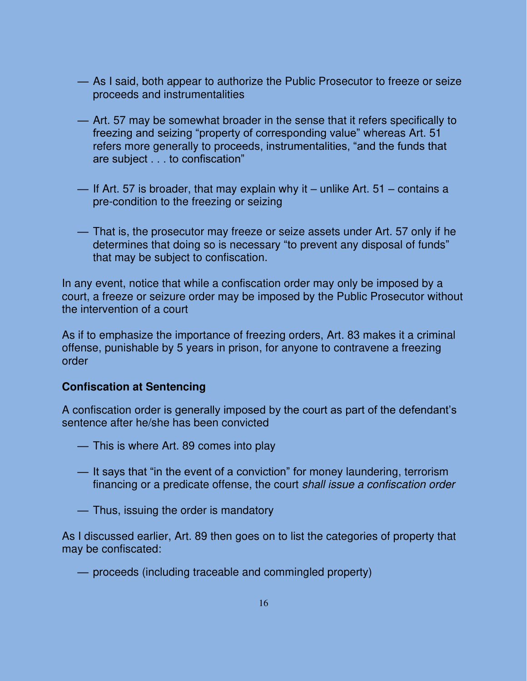- As I said, both appear to authorize the Public Prosecutor to freeze or seize proceeds and instrumentalities
- Art. 57 may be somewhat broader in the sense that it refers specifically to freezing and seizing "property of corresponding value" whereas Art. 51 refers more generally to proceeds, instrumentalities, "and the funds that are subject . . . to confiscation"
- If Art. 57 is broader, that may explain why it unlike Art. 51 contains a pre-condition to the freezing or seizing
- That is, the prosecutor may freeze or seize assets under Art. 57 only if he determines that doing so is necessary "to prevent any disposal of funds" that may be subject to confiscation.

In any event, notice that while a confiscation order may only be imposed by a court, a freeze or seizure order may be imposed by the Public Prosecutor without the intervention of a court

As if to emphasize the importance of freezing orders, Art. 83 makes it a criminal offense, punishable by 5 years in prison, for anyone to contravene a freezing order

### **Confiscation at Sentencing**

A confiscation order is generally imposed by the court as part of the defendant's sentence after he/she has been convicted

- This is where Art. 89 comes into play
- It says that "in the event of a conviction" for money laundering, terrorism financing or a predicate offense, the court shall issue a confiscation order
- Thus, issuing the order is mandatory

As I discussed earlier, Art. 89 then goes on to list the categories of property that may be confiscated:

— proceeds (including traceable and commingled property)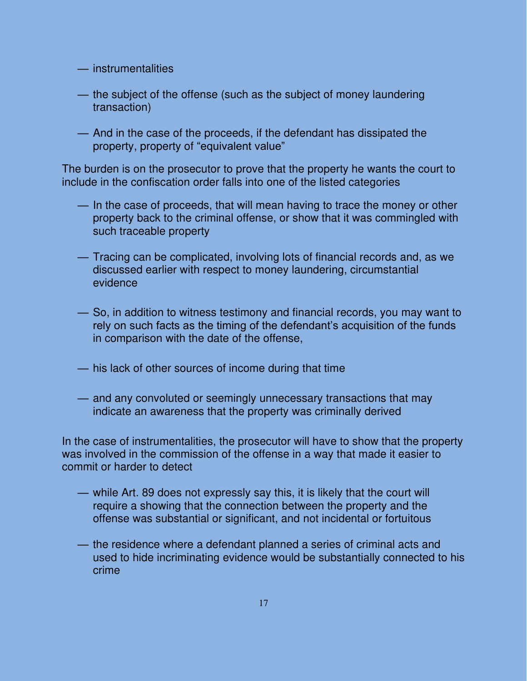- instrumentalities
- the subject of the offense (such as the subject of money laundering transaction)
- And in the case of the proceeds, if the defendant has dissipated the property, property of "equivalent value"

The burden is on the prosecutor to prove that the property he wants the court to include in the confiscation order falls into one of the listed categories

- In the case of proceeds, that will mean having to trace the money or other property back to the criminal offense, or show that it was commingled with such traceable property
- Tracing can be complicated, involving lots of financial records and, as we discussed earlier with respect to money laundering, circumstantial evidence
- So, in addition to witness testimony and financial records, you may want to rely on such facts as the timing of the defendant's acquisition of the funds in comparison with the date of the offense,
- his lack of other sources of income during that time
- and any convoluted or seemingly unnecessary transactions that may indicate an awareness that the property was criminally derived

In the case of instrumentalities, the prosecutor will have to show that the property was involved in the commission of the offense in a way that made it easier to commit or harder to detect

- while Art. 89 does not expressly say this, it is likely that the court will require a showing that the connection between the property and the offense was substantial or significant, and not incidental or fortuitous
- the residence where a defendant planned a series of criminal acts and used to hide incriminating evidence would be substantially connected to his crime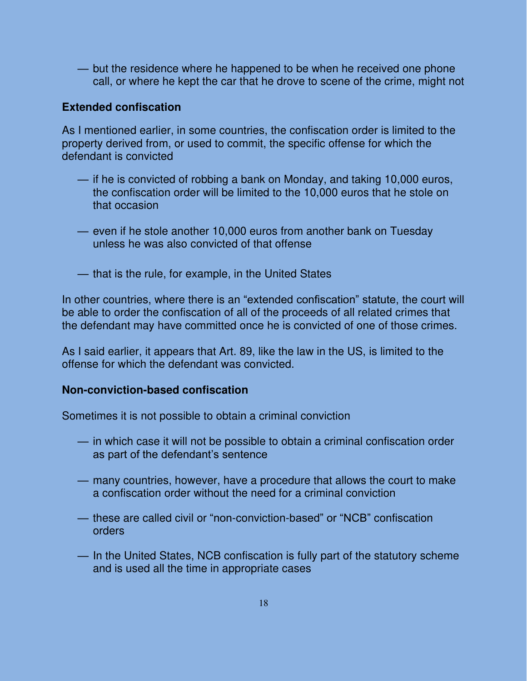— but the residence where he happened to be when he received one phone call, or where he kept the car that he drove to scene of the crime, might not

### **Extended confiscation**

As I mentioned earlier, in some countries, the confiscation order is limited to the property derived from, or used to commit, the specific offense for which the defendant is convicted

- if he is convicted of robbing a bank on Monday, and taking 10,000 euros, the confiscation order will be limited to the 10,000 euros that he stole on that occasion
- even if he stole another 10,000 euros from another bank on Tuesday unless he was also convicted of that offense
- that is the rule, for example, in the United States

In other countries, where there is an "extended confiscation" statute, the court will be able to order the confiscation of all of the proceeds of all related crimes that the defendant may have committed once he is convicted of one of those crimes.

As I said earlier, it appears that Art. 89, like the law in the US, is limited to the offense for which the defendant was convicted.

### **Non-conviction-based confiscation**

Sometimes it is not possible to obtain a criminal conviction

- in which case it will not be possible to obtain a criminal confiscation order as part of the defendant's sentence
- many countries, however, have a procedure that allows the court to make a confiscation order without the need for a criminal conviction
- these are called civil or "non-conviction-based" or "NCB" confiscation orders
- In the United States, NCB confiscation is fully part of the statutory scheme and is used all the time in appropriate cases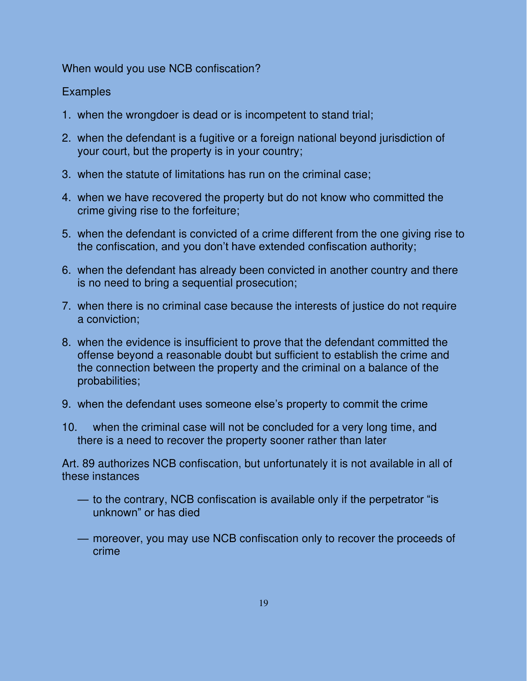When would you use NCB confiscation?

## **Examples**

- 1. when the wrongdoer is dead or is incompetent to stand trial;
- 2. when the defendant is a fugitive or a foreign national beyond jurisdiction of your court, but the property is in your country;
- 3. when the statute of limitations has run on the criminal case;
- 4. when we have recovered the property but do not know who committed the crime giving rise to the forfeiture;
- 5. when the defendant is convicted of a crime different from the one giving rise to the confiscation, and you don't have extended confiscation authority;
- 6. when the defendant has already been convicted in another country and there is no need to bring a sequential prosecution;
- 7. when there is no criminal case because the interests of justice do not require a conviction;
- 8. when the evidence is insufficient to prove that the defendant committed the offense beyond a reasonable doubt but sufficient to establish the crime and the connection between the property and the criminal on a balance of the probabilities;
- 9. when the defendant uses someone else's property to commit the crime
- 10. when the criminal case will not be concluded for a very long time, and there is a need to recover the property sooner rather than later

Art. 89 authorizes NCB confiscation, but unfortunately it is not available in all of these instances

- to the contrary, NCB confiscation is available only if the perpetrator "is unknown" or has died
- moreover, you may use NCB confiscation only to recover the proceeds of crime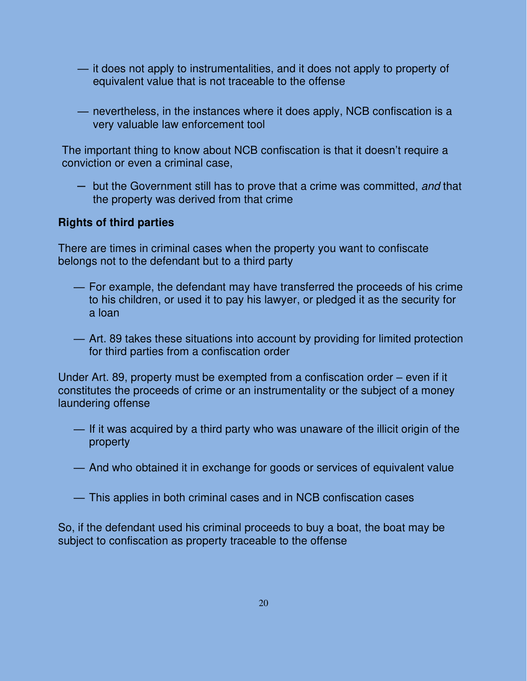- it does not apply to instrumentalities, and it does not apply to property of equivalent value that is not traceable to the offense
- nevertheless, in the instances where it does apply, NCB confiscation is a very valuable law enforcement tool

The important thing to know about NCB confiscation is that it doesn't require a conviction or even a criminal case,

— but the Government still has to prove that a crime was committed, and that the property was derived from that crime

### **Rights of third parties**

There are times in criminal cases when the property you want to confiscate belongs not to the defendant but to a third party

- For example, the defendant may have transferred the proceeds of his crime to his children, or used it to pay his lawyer, or pledged it as the security for a loan
- Art. 89 takes these situations into account by providing for limited protection for third parties from a confiscation order

Under Art. 89, property must be exempted from a confiscation order – even if it constitutes the proceeds of crime or an instrumentality or the subject of a money laundering offense

- If it was acquired by a third party who was unaware of the illicit origin of the property
- And who obtained it in exchange for goods or services of equivalent value
- This applies in both criminal cases and in NCB confiscation cases

So, if the defendant used his criminal proceeds to buy a boat, the boat may be subject to confiscation as property traceable to the offense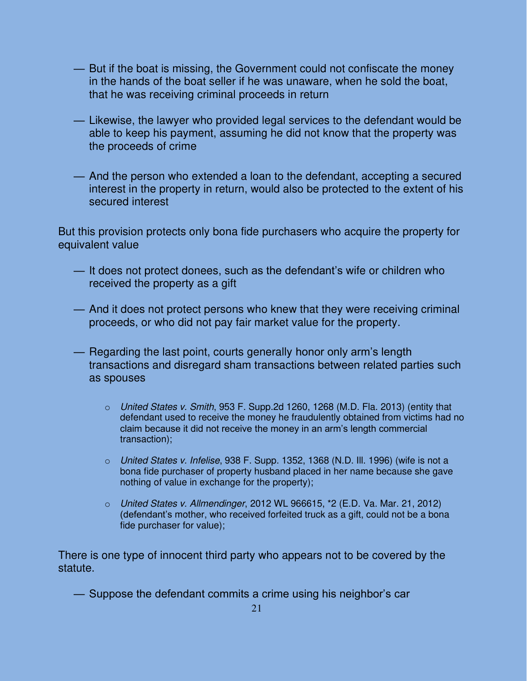- But if the boat is missing, the Government could not confiscate the money in the hands of the boat seller if he was unaware, when he sold the boat, that he was receiving criminal proceeds in return
- Likewise, the lawyer who provided legal services to the defendant would be able to keep his payment, assuming he did not know that the property was the proceeds of crime
- And the person who extended a loan to the defendant, accepting a secured interest in the property in return, would also be protected to the extent of his secured interest

But this provision protects only bona fide purchasers who acquire the property for equivalent value

- It does not protect donees, such as the defendant's wife or children who received the property as a gift
- And it does not protect persons who knew that they were receiving criminal proceeds, or who did not pay fair market value for the property.
- Regarding the last point, courts generally honor only arm's length transactions and disregard sham transactions between related parties such as spouses
	- o United States v. Smith, 953 F. Supp.2d 1260, 1268 (M.D. Fla. 2013) (entity that defendant used to receive the money he fraudulently obtained from victims had no claim because it did not receive the money in an arm's length commercial transaction);
	- $\circ$  United States v. Infelise, 938 F. Supp. 1352, 1368 (N.D. III. 1996) (wife is not a bona fide purchaser of property husband placed in her name because she gave nothing of value in exchange for the property);
	- $\circ$  United States v. Allmendinger, 2012 WL 966615,  $*2$  (E.D. Va. Mar. 21, 2012) (defendant's mother, who received forfeited truck as a gift, could not be a bona fide purchaser for value);

There is one type of innocent third party who appears not to be covered by the statute.

— Suppose the defendant commits a crime using his neighbor's car